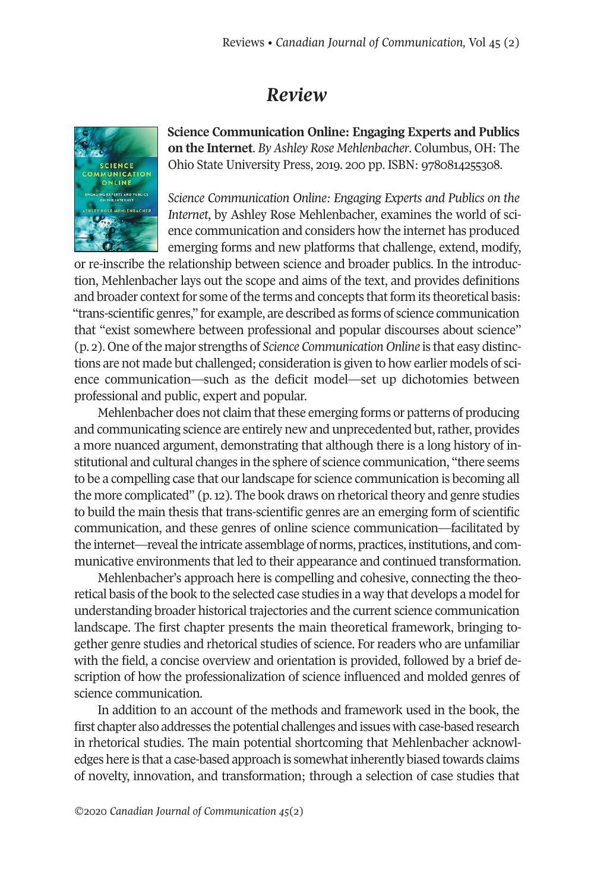## *Review*



**Science Communication Online: Engaging Experts and Publics on the Internet**. *By Ashley Rose Mehlenbacher*. Columbus, OH: The Ohio State University Press, 2019. 200 pp. ISBN: 9780814255308.

*Science Communication Online: Engaging Experts and Publics on the Internet*, by Ashley Rose Mehlenbacher, examines the world of science communication and considers how the internet has produced emerging forms and new platforms that challenge, extend, modify,

or re-inscribe the relationship between science and broader publics. In the introduction, Mehlenbacher lays out the scope and aims of the text, and provides definitions and broader context for some of the terms and concepts that form its theoretical basis: "trans-scientific genres," for example, are described as forms of science communication that "exist somewhere between professional and popular discourses about science" (p. 2). One ofthe major strengths of *Science Communication Online* is that easy distinctions are not made but challenged; consideration is given to how earlier models of science communication—such as the deficit model—set up dichotomies between professional and public, expert and popular.

Mehlenbacher does not claim that these emerging forms or patterns of producing and communicating science are entirely new and unprecedented but, rather, provides a more nuanced argument, demonstrating that although there is a long history of institutional and cultural changes in the sphere of science communication, "there seems to be a compelling case that our landscape for science communication is becoming all the more complicated" (p.12). The book draws on rhetorical theory and genre studies to build the main thesis that trans-scientific genres are an emerging form of scientific communication, and these genres of online science communication—facilitated by the internet—reveal the intricate assemblage of norms, practices, institutions, and communicative environments that led to their appearance and continued transformation.

Mehlenbacher's approach here is compelling and cohesive, connecting the theoretical basis of the book to the selected case studies in a way that develops a model for understanding broader historical trajectories and the current science communication landscape. The first chapter presents the main theoretical framework, bringing together genre studies and rhetorical studies of science. For readers who are unfamiliar with the field, a concise overview and orientation is provided, followed by a brief description of how the professionalization of science influenced and molded genres of science communication.

In addition to an account of the methods and framework used in the book, the first chapter also addresses the potential challenges and issues with case-based research in rhetorical studies. The main potential shortcoming that Mehlenbacher acknowledges here is that a case-based approach is somewhat inherently biased towards claims of novelty, innovation, and transformation; through a selection of case studies that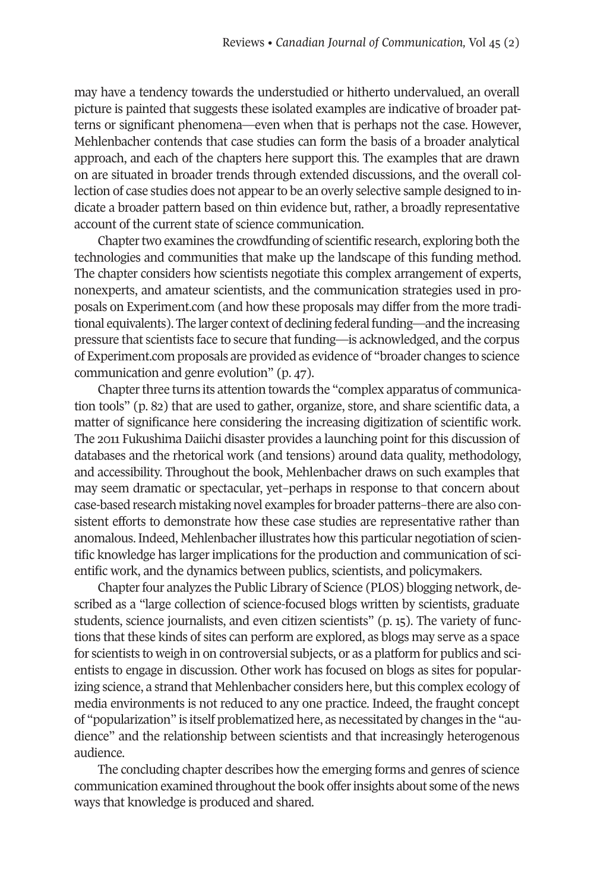may have a tendency towards the understudied or hitherto undervalued, an overall picture is painted that suggests these isolated examples are indicative of broader patterns or significant phenomena—even when that is perhaps not the case. However, Mehlenbacher contends that case studies can form the basis of a broader analytical approach, and each of the chapters here support this. The examples that are drawn on are situated in broader trends through extended discussions, and the overall collection of case studies does not appearto be an overly selective sample designed to indicate a broader pattern based on thin evidence but, rather, a broadly representative account of the current state of science communication.

Chapter two examines the crowdfunding of scientific research, exploring both the technologies and communities that make up the landscape of this funding method. The chapter considers how scientists negotiate this complex arrangement of experts, nonexperts, and amateur scientists, and the communication strategies used in proposals on Experiment.com (and how these proposals may differ from the more traditional equivalents). The larger context of declining federal funding—and the increasing pressure that scientists face to secure that funding—is acknowledged, and the corpus of Experiment.com proposals are provided as evidence of "broader changes to science communication and genre evolution" (p. 47).

Chapter three turns its attention towards the "complex apparatus of communication tools" (p. 82) that are used to gather, organize, store, and share scientific data, a matter of significance here considering the increasing digitization of scientific work. The 2011 Fukushima Daiichi disaster provides a launching point for this discussion of databases and the rhetorical work (and tensions) around data quality, methodology, and accessibility. Throughout the book, Mehlenbacher draws on such examples that may seem dramatic or spectacular, yet–perhaps in response to that concern about case-based research mistaking novel examples for broader patterns–there are also consistent efforts to demonstrate how these case studies are representative rather than anomalous. Indeed, Mehlenbacherillustrates how this particular negotiation of scientific knowledge has larger implications for the production and communication of scientific work, and the dynamics between publics, scientists, and policymakers.

Chapterfour analyzes the Public Library of Science (PLOS) blogging network, described as a "large collection of science-focused blogs written by scientists, graduate students, science journalists, and even citizen scientists" (p. 15). The variety of functions that these kinds of sites can perform are explored, as blogs may serve as a space for scientists to weigh in on controversial subjects, or as a platform for publics and scientists to engage in discussion. Other work has focused on blogs as sites for popularizing science, a strand that Mehlenbacher considers here, but this complex ecology of media environments is not reduced to any one practice. Indeed, the fraught concept of "popularization" is itself problematized here, as necessitated by changes in the "audience" and the relationship between scientists and that increasingly heterogenous audience.

The concluding chapter describes how the emerging forms and genres of science communication examined throughout the book offer insights about some of the news ways that knowledge is produced and shared.